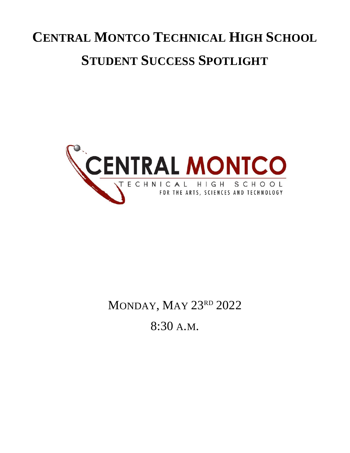# **CENTRAL MONTCO TECHNICAL HIGH SCHOOL STUDENT SUCCESS SPOTLIGHT**



# MONDAY, MAY 23RD 2022

8:30 A.M.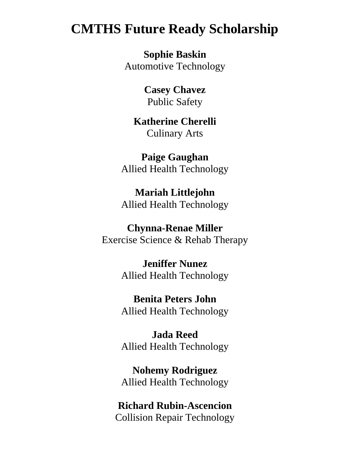### **CMTHS Future Ready Scholarship**

**Sophie Baskin** Automotive Technology

> **Casey Chavez** Public Safety

**Katherine Cherelli** Culinary Arts

**Paige Gaughan** Allied Health Technology

**Mariah Littlejohn** Allied Health Technology

### **Chynna-Renae Miller**

Exercise Science & Rehab Therapy

**Jeniffer Nunez** Allied Health Technology

**Benita Peters John** Allied Health Technology

**Jada Reed** Allied Health Technology

**Nohemy Rodriguez** Allied Health Technology

**Richard Rubin-Ascencion** Collision Repair Technology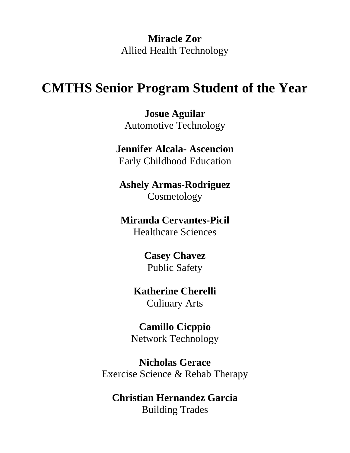**Miracle Zor** Allied Health Technology

### **CMTHS Senior Program Student of the Year**

**Josue Aguilar** Automotive Technology

# **Jennifer Alcala- Ascencion**

Early Childhood Education

**Ashely Armas-Rodriguez** Cosmetology

### **Miranda Cervantes-Picil**

Healthcare Sciences

**Casey Chavez** Public Safety

# **Katherine Cherelli**

Culinary Arts

**Camillo Cicppio** Network Technology

**Nicholas Gerace** Exercise Science & Rehab Therapy

### **Christian Hernandez Garcia** Building Trades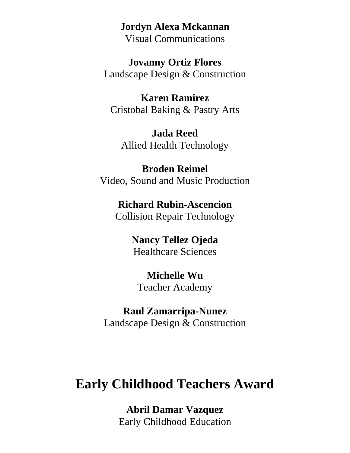#### **Jordyn Alexa Mckannan**

Visual Communications

**Jovanny Ortiz Flores** Landscape Design & Construction

**Karen Ramirez** Cristobal Baking & Pastry Arts

**Jada Reed** Allied Health Technology

**Broden Reimel** Video, Sound and Music Production

**Richard Rubin-Ascencion** Collision Repair Technology

> **Nancy Tellez Ojeda** Healthcare Sciences

**Michelle Wu** Teacher Academy

**Raul Zamarripa-Nunez** Landscape Design & Construction

# **Early Childhood Teachers Award**

**Abril Damar Vazquez** Early Childhood Education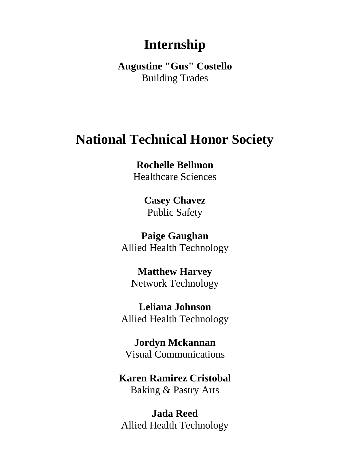# **Internship**

**Augustine "Gus" Costello** Building Trades

# **National Technical Honor Society**

**Rochelle Bellmon** Healthcare Sciences

> **Casey Chavez** Public Safety

**Paige Gaughan** Allied Health Technology

**Matthew Harvey** Network Technology

**Leliana Johnson** Allied Health Technology

**Jordyn Mckannan** Visual Communications

**Karen Ramirez Cristobal** Baking & Pastry Arts

**Jada Reed** Allied Health Technology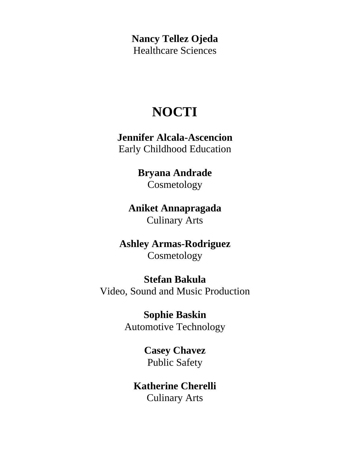**Nancy Tellez Ojeda** Healthcare Sciences

# **NOCTI**

**Jennifer Alcala-Ascencion** Early Childhood Education

# **Bryana Andrade**

Cosmetology

### **Aniket Annapragada** Culinary Arts

### **Ashley Armas-Rodriguez** Cosmetology

### **Stefan Bakula**

Video, Sound and Music Production

### **Sophie Baskin**

Automotive Technology

**Casey Chavez** Public Safety

### **Katherine Cherelli** Culinary Arts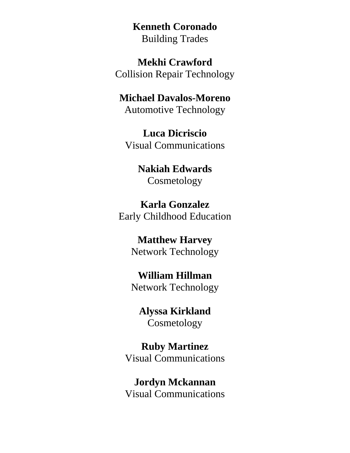**Kenneth Coronado** Building Trades

**Mekhi Crawford** Collision Repair Technology

**Michael Davalos-Moreno** Automotive Technology

**Luca Dicriscio** Visual Communications

> **Nakiah Edwards** Cosmetology

**Karla Gonzalez** Early Childhood Education

> **Matthew Harvey** Network Technology

> **William Hillman** Network Technology

**Alyssa Kirkland** Cosmetology

**Ruby Martinez** Visual Communications

**Jordyn Mckannan** Visual Communications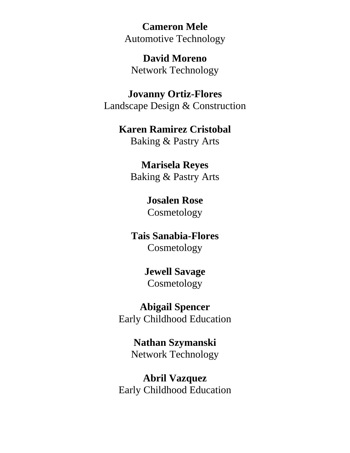**Cameron Mele** Automotive Technology

**David Moreno** Network Technology

**Jovanny Ortiz-Flores** Landscape Design & Construction

### **Karen Ramirez Cristobal**

Baking & Pastry Arts

### **Marisela Reyes**

Baking & Pastry Arts

### **Josalen Rose** Cosmetology

**Tais Sanabia-Flores** Cosmetology

### **Jewell Savage** Cosmetology

**Abigail Spencer** Early Childhood Education

> **Nathan Szymanski** Network Technology

**Abril Vazquez** Early Childhood Education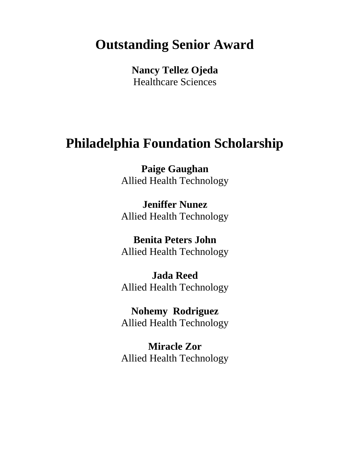# **Outstanding Senior Award**

**Nancy Tellez Ojeda** Healthcare Sciences

# **Philadelphia Foundation Scholarship**

**Paige Gaughan** Allied Health Technology

**Jeniffer Nunez** Allied Health Technology

**Benita Peters John** Allied Health Technology

**Jada Reed** Allied Health Technology

**Nohemy Rodriguez** Allied Health Technology

**Miracle Zor** Allied Health Technology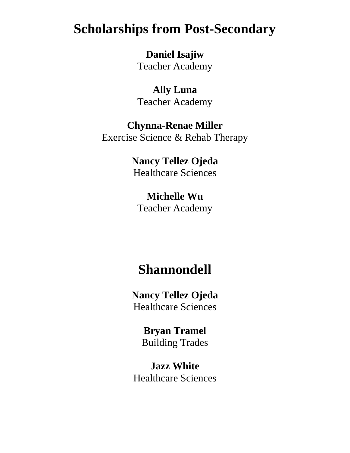# **Scholarships from Post-Secondary**

**Daniel Isajiw** Teacher Academy

**Ally Luna** Teacher Academy

**Chynna-Renae Miller** Exercise Science & Rehab Therapy

> **Nancy Tellez Ojeda** Healthcare Sciences

**Michelle Wu** Teacher Academy

## **Shannondell**

**Nancy Tellez Ojeda** Healthcare Sciences

> **Bryan Tramel** Building Trades

**Jazz White** Healthcare Sciences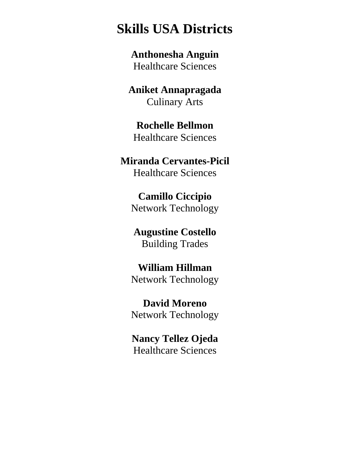# **Skills USA Districts**

**Anthonesha Anguin** Healthcare Sciences

**Aniket Annapragada** Culinary Arts

### **Rochelle Bellmon** Healthcare Sciences

### **Miranda Cervantes-Picil** Healthcare Sciences

**Camillo Ciccipio** Network Technology

### **Augustine Costello** Building Trades

### **William Hillman** Network Technology

**David Moreno** Network Technology

### **Nancy Tellez Ojeda** Healthcare Sciences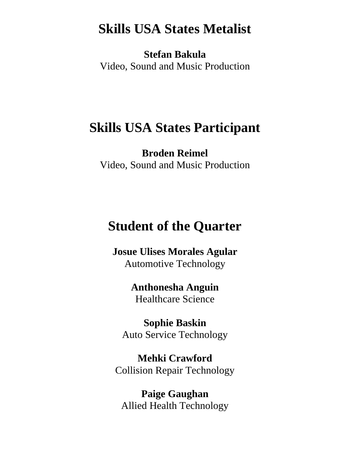# **Skills USA States Metalist**

**Stefan Bakula** Video, Sound and Music Production

## **Skills USA States Participant**

**Broden Reimel** Video, Sound and Music Production

# **Student of the Quarter**

**Josue Ulises Morales Agular** Automotive Technology

> **Anthonesha Anguin** Healthcare Science

**Sophie Baskin** Auto Service Technology

**Mehki Crawford** Collision Repair Technology

**Paige Gaughan** Allied Health Technology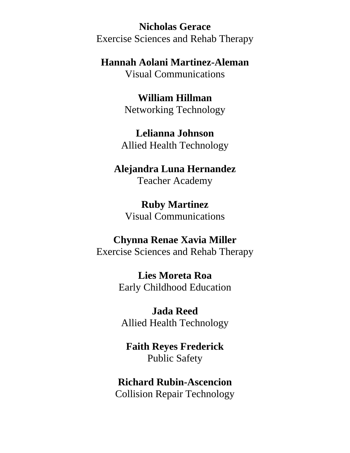**Nicholas Gerace** Exercise Sciences and Rehab Therapy

**Hannah Aolani Martinez-Aleman**

Visual Communications

**William Hillman** Networking Technology

**Lelianna Johnson** Allied Health Technology

# **Alejandra Luna Hernandez**

Teacher Academy

**Ruby Martinez** Visual Communications

### **Chynna Renae Xavia Miller**

Exercise Sciences and Rehab Therapy

**Lies Moreta Roa** Early Childhood Education

**Jada Reed** Allied Health Technology

**Faith Reyes Frederick** Public Safety

**Richard Rubin-Ascencion** Collision Repair Technology